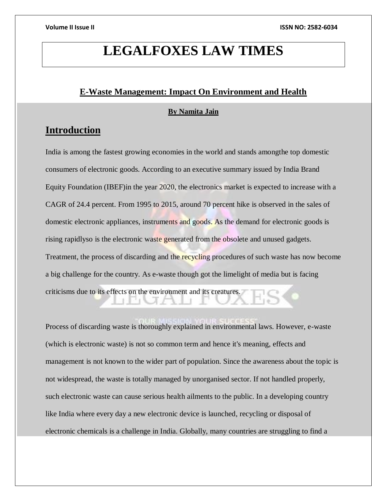# **LEGALFOXES LAW TIMES**

# **E-Waste Management: Impact On Environment and Health**

### **By Namita Jain**

# **Introduction**

India is among the fastest growing economies in the world and stands amongthe top domestic consumers of electronic goods. According to an executive summary issued by India Brand Equity Foundation (IBEF)in the year 2020, the electronics market is expected to increase with a CAGR of 24.4 percent. From 1995 to 2015, around 70 percent hike is observed in the sales of domestic electronic appliances, instruments and goods. As the demand for electronic goods is rising rapidlyso is the electronic waste generated from the obsolete and unused gadgets. Treatment, the process of discarding and the recycling procedures of such waste has now become a big challenge for the country. As e-waste though got the limelight of media but is facing criticisms due to its effects on the environment and its creatures.

Process of discarding waste is thoroughly explained in environmental laws. However, e-waste (which is electronic waste) is not so common term and hence it's meaning, effects and management is not known to the wider part of population. Since the awareness about the topic is not widespread, the waste is totally managed by unorganised sector. If not handled properly, such electronic waste can cause serious health ailments to the public. In a developing country like India where every day a new electronic device is launched, recycling or disposal of electronic chemicals is a challenge in India. Globally, many countries are struggling to find a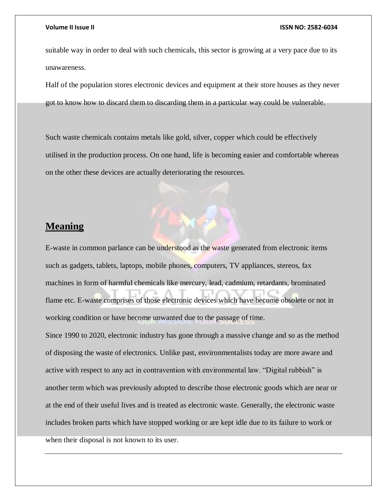suitable way in order to deal with such chemicals, this sector is growing at a very pace due to its unawareness.

Half of the population stores electronic devices and equipment at their store houses as they never got to know how to discard them to discarding them in a particular way could be vulnerable.

Such waste chemicals contains metals like gold, silver, copper which could be effectively utilised in the production process. On one hand, life is becoming easier and comfortable whereas on the other these devices are actually deteriorating the resources.

# **Meaning**

E-waste in common parlance can be understood as the waste generated from electronic items such as gadgets, tablets, laptops, mobile phones, computers, TV appliances, stereos, fax machines in form of harmful chemicals like mercury, lead, cadmium, retardants, brominated flame etc. E-waste comprises of those electronic devices which have become obsolete or not in working condition or have become unwanted due to the passage of time. Since 1990 to 2020, electronic industry has gone through a massive change and so as the method of disposing the waste of electronics. Unlike past, environmentalists today are more aware and active with respect to any act in contravention with environmental law. "Digital rubbish" is another term which was previously adopted to describe those electronic goods which are near or at the end of their useful lives and is treated as electronic waste. Generally, the electronic waste includes broken parts which have stopped working or are kept idle due to its failure to work or when their disposal is not known to its user.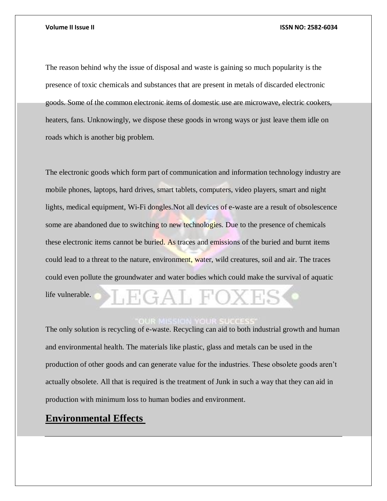The reason behind why the issue of disposal and waste is gaining so much popularity is the presence of toxic chemicals and substances that are present in metals of discarded electronic goods. Some of the common electronic items of domestic use are microwave, electric cookers, heaters, fans. Unknowingly, we dispose these goods in wrong ways or just leave them idle on roads which is another big problem.

The electronic goods which form part of communication and information technology industry are mobile phones, laptops, hard drives, smart tablets, computers, video players, smart and night lights, medical equipment, Wi-Fi dongles.Not all devices of e-waste are a result of obsolescence some are abandoned due to switching to new technologies. Due to the presence of chemicals these electronic items cannot be buried. As traces and emissions of the buried and burnt items could lead to a threat to the nature, environment, water, wild creatures, soil and air. The traces could even pollute the groundwater and water bodies which could make the survival of aquatic life vulnerable.  $\div$ Al, I

### **OUR MISSION YOUR SUCCES**

The only solution is recycling of e-waste. Recycling can aid to both industrial growth and human and environmental health. The materials like plastic, glass and metals can be used in the production of other goods and can generate value for the industries. These obsolete goods aren't actually obsolete. All that is required is the treatment of Junk in such a way that they can aid in production with minimum loss to human bodies and environment.

# **Environmental Effects**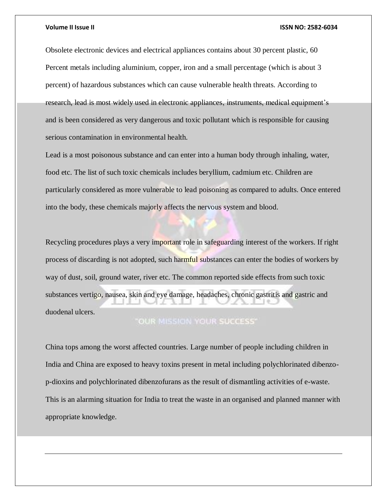Obsolete electronic devices and electrical appliances contains about 30 percent plastic, 60 Percent metals including aluminium, copper, iron and a small percentage (which is about 3 percent) of hazardous substances which can cause vulnerable health threats. According to research, lead is most widely used in electronic appliances, instruments, medical equipment's and is been considered as very dangerous and toxic pollutant which is responsible for causing serious contamination in environmental health.

Lead is a most poisonous substance and can enter into a human body through inhaling, water, food etc. The list of such toxic chemicals includes beryllium, cadmium etc. Children are particularly considered as more vulnerable to lead poisoning as compared to adults. Once entered into the body, these chemicals majorly affects the nervous system and blood.

Recycling procedures plays a very important role in safeguarding interest of the workers. If right process of discarding is not adopted, such harmful substances can enter the bodies of workers by way of dust, soil, ground water, river etc. The common reported side effects from such toxic substances vertigo, nausea, skin and eye damage, headaches, chronic gastritis and gastric and duodenal ulcers.

### **"OUR MISSION YOUR SUCCESS"**

China tops among the worst affected countries. Large number of people including children in India and China are exposed to heavy toxins present in metal including polychlorinated dibenzop-dioxins and polychlorinated dibenzofurans as the result of dismantling activities of e-waste. This is an alarming situation for India to treat the waste in an organised and planned manner with appropriate knowledge.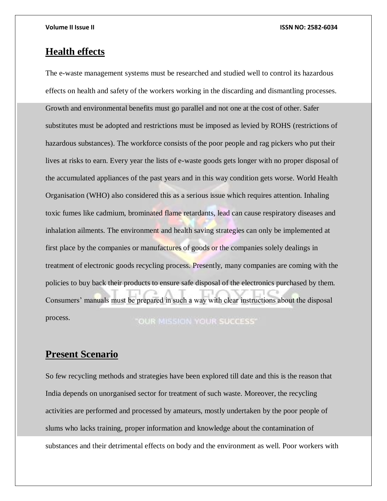# **Health effects**

The e-waste management systems must be researched and studied well to control its hazardous effects on health and safety of the workers working in the discarding and dismantling processes. Growth and environmental benefits must go parallel and not one at the cost of other. Safer substitutes must be adopted and restrictions must be imposed as levied by ROHS (restrictions of hazardous substances). The workforce consists of the poor people and rag pickers who put their lives at risks to earn. Every year the lists of e-waste goods gets longer with no proper disposal of the accumulated appliances of the past years and in this way condition gets worse. World Health Organisation (WHO) also considered this as a serious issue which requires attention. Inhaling toxic fumes like cadmium, brominated flame retardants, lead can cause respiratory diseases and inhalation ailments. The environment and health saving strategies can only be implemented at first place by the companies or manufactures of goods or the companies solely dealings in treatment of electronic goods recycling process. Presently, many companies are coming with the policies to buy back their products to ensure safe disposal of the electronics purchased by them. Consumers' manuals must be prepared in such a way with clear instructions about the disposal process. **"OUR MISSION YOUR SUCCESS"** 

# **Present Scenario**

So few recycling methods and strategies have been explored till date and this is the reason that India depends on unorganised sector for treatment of such waste. Moreover, the recycling activities are performed and processed by amateurs, mostly undertaken by the poor people of slums who lacks training, proper information and knowledge about the contamination of substances and their detrimental effects on body and the environment as well. Poor workers with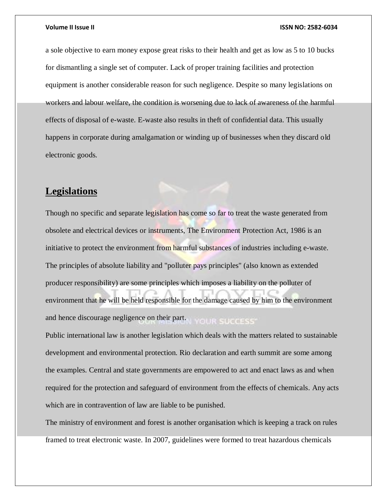a sole objective to earn money expose great risks to their health and get as low as 5 to 10 bucks for dismantling a single set of computer. Lack of proper training facilities and protection equipment is another considerable reason for such negligence. Despite so many legislations on workers and labour welfare, the condition is worsening due to lack of awareness of the harmful effects of disposal of e-waste. E-waste also results in theft of confidential data. This usually happens in corporate during amalgamation or winding up of businesses when they discard old electronic goods.

# **Legislations**

Though no specific and separate legislation has come so far to treat the waste generated from obsolete and electrical devices or instruments, The Environment Protection Act, 1986 is an initiative to protect the environment from harmful substances of industries including e-waste. The principles of absolute liability and "polluter pays principles" (also known as extended producer responsibility) are some principles which imposes a liability on the polluter of environment that he will be held responsible for the damage caused by him to the environment and hence discourage negligence on their part. YOUR SUCCESS'

Public international law is another legislation which deals with the matters related to sustainable development and environmental protection. Rio declaration and earth summit are some among the examples. Central and state governments are empowered to act and enact laws as and when required for the protection and safeguard of environment from the effects of chemicals. Any acts which are in contravention of law are liable to be punished.

The ministry of environment and forest is another organisation which is keeping a track on rules framed to treat electronic waste. In 2007, guidelines were formed to treat hazardous chemicals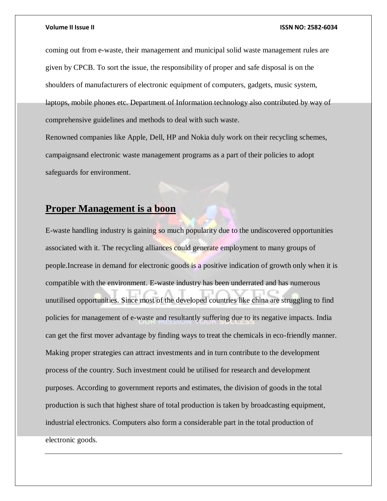coming out from e-waste, their management and municipal solid waste management rules are given by CPCB. To sort the issue, the responsibility of proper and safe disposal is on the shoulders of manufacturers of electronic equipment of computers, gadgets, music system, laptops, mobile phones etc. Department of Information technology also contributed by way of comprehensive guidelines and methods to deal with such waste.

Renowned companies like Apple, Dell, HP and Nokia duly work on their recycling schemes, campaignsand electronic waste management programs as a part of their policies to adopt safeguards for environment.

# **Proper Management is a boon**

E-waste handling industry is gaining so much popularity due to the undiscovered opportunities associated with it. The recycling alliances could generate employment to many groups of people.Increase in demand for electronic goods is a positive indication of growth only when it is compatible with the environment. E-waste industry has been underrated and has numerous unutilised opportunities. Since most of the developed countries like china are struggling to find policies for management of e-waste and resultantly suffering due to its negative impacts. India can get the first mover advantage by finding ways to treat the chemicals in eco-friendly manner. Making proper strategies can attract investments and in turn contribute to the development process of the country. Such investment could be utilised for research and development purposes. According to government reports and estimates, the division of goods in the total production is such that highest share of total production is taken by broadcasting equipment, industrial electronics. Computers also form a considerable part in the total production of electronic goods.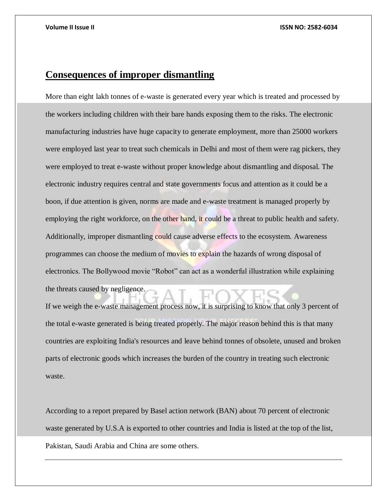# **Consequences of improper dismantling**

More than eight lakh tonnes of e-waste is generated every year which is treated and processed by the workers including children with their bare hands exposing them to the risks. The electronic manufacturing industries have huge capacity to generate employment, more than 25000 workers were employed last year to treat such chemicals in Delhi and most of them were rag pickers, they were employed to treat e-waste without proper knowledge about dismantling and disposal. The electronic industry requires central and state governments focus and attention as it could be a boon, if due attention is given, norms are made and e-waste treatment is managed properly by employing the right workforce, on the other hand, it could be a threat to public health and safety. Additionally, improper dismantling could cause adverse effects to the ecosystem. Awareness programmes can choose the medium of movies to explain the hazards of wrong disposal of electronics. The Bollywood movie "Robot" can act as a wonderful illustration while explaining the threats caused by negligence.

If we weigh the e-waste management process now, it is surprising to know that only 3 percent of the total e-waste generated is being treated properly. The major reason behind this is that many countries are exploiting India's resources and leave behind tonnes of obsolete, unused and broken parts of electronic goods which increases the burden of the country in treating such electronic waste.

According to a report prepared by Basel action network (BAN) about 70 percent of electronic waste generated by U.S.A is exported to other countries and India is listed at the top of the list, Pakistan, Saudi Arabia and China are some others.